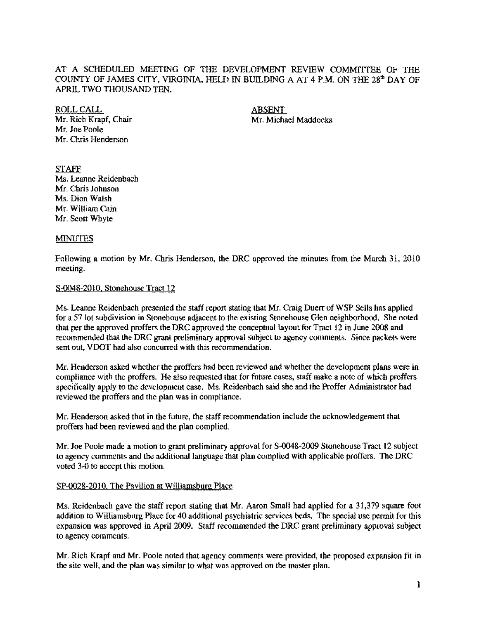## AT A SCHEDULED MEETING OF THE DEVELOPMENT REVIEW COMMITTEE OF THE COUNTY OF JAMES CITY, VIRGINIA, HELD IN BUILDING A AT 4 P.M. ON THE 28<sup>th</sup> DAY OF APRIL TWO THOUSAND TEN.

ROLL CALL<br>
Mr. Rich Krapf, Chair<br>
Mr. Micha Mr. Joe Poole Mr. Chris Henderson

Mr. Michael Maddocks

### **STAFF** Ms, Leanne Reidenbach Mr. Chris Johnson Ms, Dion Walsh Mr. William Cain Mr. Scott Whyte

# MINUTES

Following a motion by Mr. Chris Henderson, the DRC approved the minutes from the March 31, 2010 meeting.

#### S-0048-201O, Stonehouse Tract 12

Ms. Leanne Reidenbach presented the staff report stating that Mr. Craig Duerr of WSP Sells has applied for a 57 lot subdivision in Stonehouse adjacent to the existing Stonehouse Glen neighborhood. She noted that per the approved proffers the DRC approved the conceptual layout for Tract 12 in June 2008 and recommended that the DRC grant preliminary approval subject to agency comments. Since packets were sent out, VDOT had also concurred with this recommendation.

Mr. Henderson asked whether the proffers had been reviewed and whether the development plans were in compliance with the proffers. He also requested that for future cases, staff make a note of which proffers specifically apply to the development case. Ms. Reidenbach said she and the Proffer Administrator had reviewed the proffers and the plan was in compliance.

Mr, Henderson asked that in the future, the staff recommendation include the acknowledgement that proffers had been reviewed and the plan complied,

Mr. Joe Poole made a motion to grant preliminary approval for S-0048-2009 Stonehouse Tract 12 subject to agency comments and the additional language that plan complied with applicable proffers. The DRC voted 3-0 to accept this motion,

### SP-0028-2010, The Pavilion at Williamsburg Place

Ms. Reidenbach gave the staff report staling that Mr. Aaron Small had applied for a 31.379 square foot addition to Williamsburg Place for 40 additional psychiatric services beds. The special use permit for this expansion was approved in April 2009. Staff recommended the DRC grant preliminary approval subject to agency comments,

Mr. Rich Krapf and Mr. Poole noted that agency comments were provided. the proposed expansion fit in the site well. and the plan was similar to what was approved on the master plan.